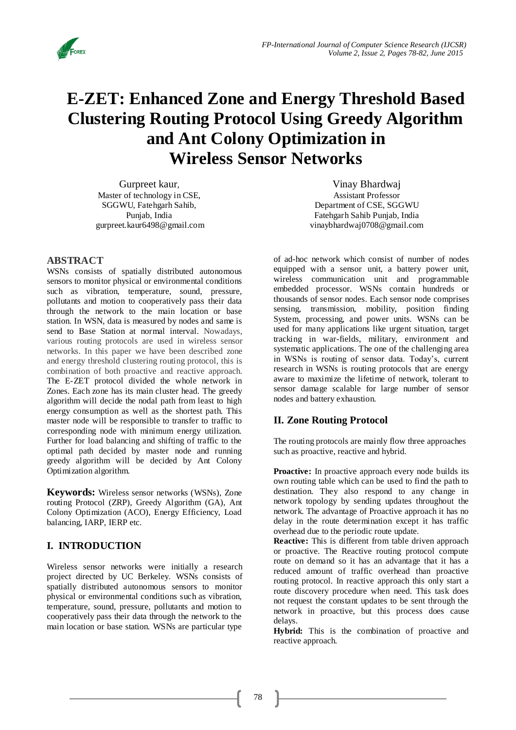

# **E-ZET: Enhanced Zone and Energy Threshold Based Clustering Routing Protocol Using Greedy Algorithm and Ant Colony Optimization in Wireless Sensor Networks**

Gurpreet kaur, Master of technology in CSE, SGGWU, Fatehgarh Sahib, Punjab, India [gurpreet.kaur6498@gmail.com](mailto:gurpreet.kaur6498@gmail.com)

## **ABSTRACT**

WSNs consists of spatially distributed autonomous sensors to monitor physical or environmental conditions such as vibration, temperature, sound, pressure, pollutants and motion to cooperatively pass their data through the network to the main location or base station. In WSN, data is measured by nodes and same is send to Base Station at normal interval. Nowadays, various routing protocols are used in wireless sensor networks. In this paper we have been described zone and energy threshold clustering routing protocol, this is combination of both proactive and reactive approach. The E-ZET protocol divided the whole network in Zones. Each zone has its main cluster head. The greedy algorithm will decide the nodal path from least to high energy consumption as well as the shortest path. This master node will be responsible to transfer to traffic to corresponding node with minimum energy utilization. Further for load balancing and shifting of traffic to the optimal path decided by master node and running greedy algorithm will be decided by Ant Colony Optimization algorithm.

**Keywords:** Wireless sensor networks (WSNs), Zone routing Protocol (ZRP), Greedy Algorithm (GA), Ant Colony Optimization (ACO), Energy Efficiency, Load balancing, IARP, IERP etc.

## **I. INTRODUCTION**<sup>1</sup>

Wireless sensor networks were initially a research project directed by UC Berkeley. WSNs consists of spatially distributed autonomous sensors to monitor physical or environmental conditions such as vibration, temperature, sound, pressure, pollutants and motion to cooperatively pass their data through the network to the main location or base station. WSNs are particular type

Vinay Bhardwaj Assistant Professor Department of CSE, SGGWU Fatehgarh Sahib Punjab, India [vinaybhardwaj0708@gmail.com](mailto:vinaybhardwaj0708@gmail.com)

of ad-hoc network which consist of number of nodes equipped with a sensor unit, a battery power unit, wireless communication unit and programmable embedded processor. WSNs contain hundreds or thousands of sensor nodes. Each sensor node comprises sensing, transmission, mobility, position finding System, processing, and power units. WSNs can be used for many applications like urgent situation, target tracking in war-fields, military, environment and systematic applications. The one of the challenging area in WSNs is routing of sensor data. Today's, current research in WSNs is routing protocols that are energy aware to maximize the lifetime of network, tolerant to sensor damage scalable for large number of sensor nodes and battery exhaustion.

## **II. Zone Routing Protocol**

The routing protocols are mainly flow three approaches such as proactive, reactive and hybrid.

**Proactive:** In proactive approach every node builds its own routing table which can be used to find the path to destination. They also respond to any change in network topology by sending updates throughout the network. The advantage of Proactive approach it has no delay in the route determination except it has traffic overhead due to the periodic route update.

**Reactive:** This is different from table driven approach or proactive. The Reactive routing protocol compute route on demand so it has an advantage that it has a reduced amount of traffic overhead than proactive routing protocol. In reactive approach this only start a route discovery procedure when need. This task does not request the constant updates to be sent through the network in proactive, but this process does cause delays.

Hybrid: This is the combination of proactive and reactive approach.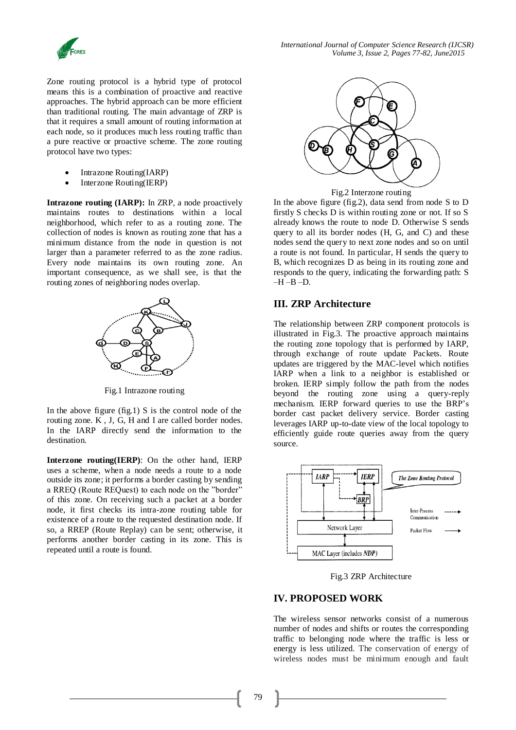

*International Journal of Computer Science Research (IJCSR) Volume 3, Issue 2, Pages 77-82, June2015*

Zone routing protocol is a hybrid type of protocol means this is a combination of proactive and reactive approaches. The hybrid approach can be more efficient than traditional routing. The main advantage of ZRP is that it requires a small amount of routing information at each node, so it produces much less routing traffic than a pure reactive or proactive scheme. The zone routing protocol have two types:

- Intrazone Routing(IARP)
- Interzone Routing(IERP)

**Intrazone routing (IARP):** In ZRP, a node proactively maintains routes to destinations within a local neighborhood, which refer to as a routing zone. The collection of nodes is known as routing zone that has a minimum distance from the node in question is not larger than a parameter referred to as the zone radius. Every node maintains its own routing zone. An important consequence, as we shall see, is that the routing zones of neighboring nodes overlap.



Fig.1 Intrazone routing

In the above figure  $(fig.1)$  S is the control node of the routing zone. K , J, G, H and I are called border nodes. In the IARP directly send the information to the destination.

**Interzone routing(IERP)**: On the other hand, IERP uses a scheme, when a node needs a route to a node outside its zone; it performs a border casting by sending a RREQ (Route REQuest) to each node on the "border" of this zone. On receiving such a packet at a border node, it first checks its intra-zone routing table for existence of a route to the requested destination node. If so, a RREP (Route Replay) can be sent; otherwise, it performs another border casting in its zone. This is repeated until a route is found.



Fig.2 Interzone routing

In the above figure (fig.2), data send from node S to D firstly S checks D is within routing zone or not. If so S already knows the route to node D. Otherwise S sends query to all its border nodes (H, G, and C) and these nodes send the query to next zone nodes and so on until a route is not found. In particular, H sends the query to B, which recognizes D as being in its routing zone and responds to the query, indicating the forwarding path: S  $-\overline{H} - \overline{B} - \overline{D}$ .

## **III. ZRP Architecture**

The relationship between ZRP component protocols is illustrated in Fig.3. The proactive approach maintains the routing zone topology that is performed by IARP, through exchange of route update Packets. Route updates are triggered by the MAC-level which notifies IARP when a link to a neighbor is established or broken. IERP simply follow the path from the nodes beyond the routing zone using a query-reply mechanism. IERP forward queries to use the BRP's border cast packet delivery service. Border casting leverages IARP up-to-date view of the local topology to efficiently guide route queries away from the query source.



Fig.3 ZRP Architecture

#### **IV. PROPOSED WORK**

The wireless sensor networks consist of a numerous number of nodes and shifts or routes the corresponding traffic to belonging node where the traffic is less or energy is less utilized. The conservation of energy of wireless nodes must be minimum enough and fault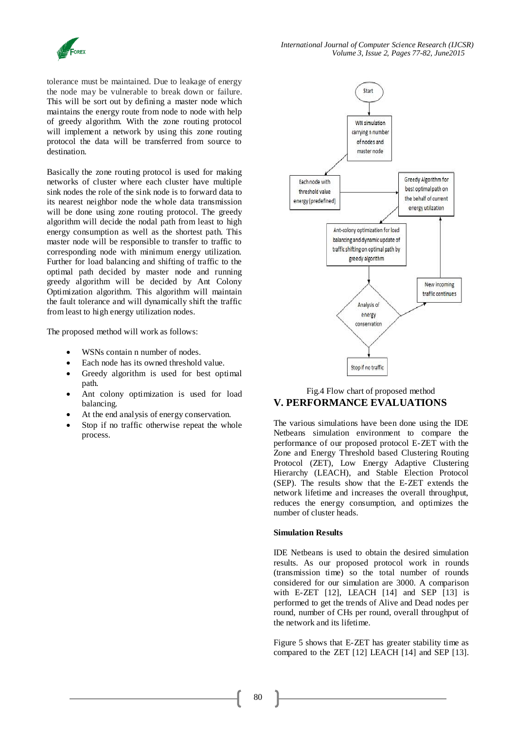

tolerance must be maintained. Due to leakage of energy the node may be vulnerable to break down or failure. This will be sort out by defining a master node which maintains the energy route from node to node with help of greedy algorithm. With the zone routing protocol will implement a network by using this zone routing protocol the data will be transferred from source to destination.

Basically the zone routing protocol is used for making networks of cluster where each cluster have multiple sink nodes the role of the sink node is to forward data to its nearest neighbor node the whole data transmission will be done using zone routing protocol. The greedy algorithm will decide the nodal path from least to high energy consumption as well as the shortest path. This master node will be responsible to transfer to traffic to corresponding node with minimum energy utilization. Further for load balancing and shifting of traffic to the optimal path decided by master node and running greedy algorithm will be decided by Ant Colony Optimization algorithm. This algorithm will maintain the fault tolerance and will dynamically shift the traffic from least to high energy utilization nodes.

The proposed method will work as follows:

- WSNs contain n number of nodes.
- Each node has its owned threshold value.
- Greedy algorithm is used for best optimal path.
- Ant colony optimization is used for load balancing.
- At the end analysis of energy conservation.
- Stop if no traffic otherwise repeat the whole process.



## Fig.4 Flow chart of proposed method **V. PERFORMANCE EVALUATIONS**

The various simulations have been done using the IDE Netbeans simulation environment to compare the performance of our proposed protocol E-ZET with the Zone and Energy Threshold based Clustering Routing Protocol (ZET), Low Energy Adaptive Clustering Hierarchy (LEACH), and Stable Election Protocol (SEP). The results show that the E-ZET extends the network lifetime and increases the overall throughput, reduces the energy consumption, and optimizes the number of cluster heads.

#### **Simulation Results**

IDE Netbeans is used to obtain the desired simulation results. As our proposed protocol work in rounds (transmission time) so the total number of rounds considered for our simulation are 3000. A comparison with E-ZET  $[12]$ , LEACH  $[14]$  and SEP  $[13]$  is performed to get the trends of Alive and Dead nodes per round, number of CHs per round, overall throughput of the network and its lifetime.

Figure 5 shows that E-ZET has greater stability time as compared to the ZET [12] LEACH [14] and SEP [13].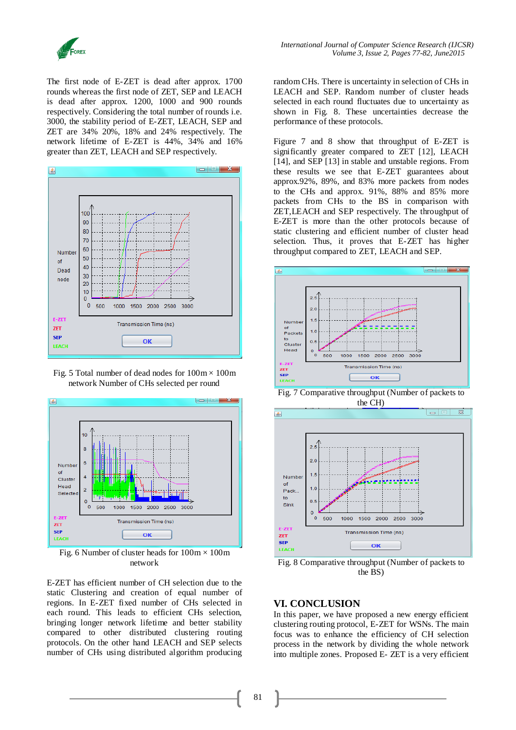

The first node of E-ZET is dead after approx. 1700 rounds whereas the first node of ZET, SEP and LEACH is dead after approx. 1200, 1000 and 900 rounds respectively. Considering the total number of rounds i.e. 3000, the stability period of E-ZET, LEACH, SEP and ZET are 34% 20%, 18% and 24% respectively. The network lifetime of E-ZET is 44%, 34% and 16% greater than ZET, LEACH and SEP respectively.



Fig. 5 Total number of dead nodes for  $100 \text{m} \times 100 \text{m}$ network Number of CHs selected per round



Fig. 6 Number of cluster heads for  $100 \text{m} \times 100 \text{m}$ network

E-ZET has efficient number of CH selection due to the static Clustering and creation of equal number of regions. In E-ZET fixed number of CHs selected in each round. This leads to efficient CHs selection, bringing longer network lifetime and better stability compared to other distributed clustering routing protocols. On the other hand LEACH and SEP selects number of CHs using distributed algorithm producing

random CHs. There is uncertainty in selection of CHs in LEACH and SEP. Random number of cluster heads selected in each round fluctuates due to uncertainty as shown in Fig. 8. These uncertainties decrease the performance of these protocols.

Figure 7 and 8 show that throughput of E-ZET is significantly greater compared to ZET [12], LEACH [14], and SEP [13] in stable and unstable regions. From these results we see that E-ZET guarantees about approx.92%, 89%, and 83% more packets from nodes to the CHs and approx. 91%, 88% and 85% more packets from CHs to the BS in comparison with ZET,LEACH and SEP respectively. The throughput of E-ZET is more than the other protocols because of static clustering and efficient number of cluster head selection. Thus, it proves that E-ZET has higher throughput compared to ZET, LEACH and SEP.



Fig. 7 Comparative throughput (Number of packets to the CH)



Fig. 8 Comparative throughput (Number of packets to the BS)

# **VI. CONCLUSION**

In this paper, we have proposed a new energy efficient clustering routing protocol, E-ZET for WSNs. The main focus was to enhance the efficiency of CH selection process in the network by dividing the whole network into multiple zones. Proposed E- ZET is a very efficient

81